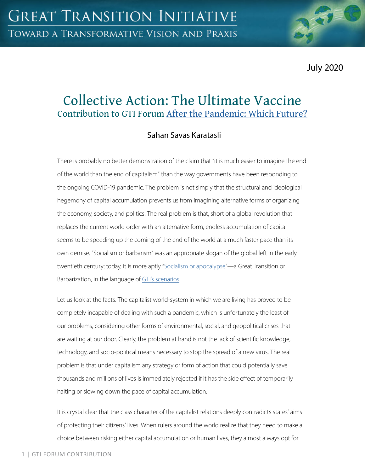July 2020

# Collective Action: The Ultimate Vaccine Contribution to GTI Forum [After the Pandemic: Which Future?](https://greattransition.org/gti-forum/after-the-pandemic-which-future-1)

## Sahan Savas Karatasli

There is probably no better demonstration of the claim that "it is much easier to imagine the end of the world than the end of capitalism" than the way governments have been responding to the ongoing COVID-19 pandemic. The problem is not simply that the structural and ideological hegemony of capital accumulation prevents us from imagining alternative forms of organizing the economy, society, and politics. The real problem is that, short of a global revolution that replaces the current world order with an alternative form, endless accumulation of capital seems to be speeding up the coming of the end of the world at a much faster pace than its own demise. "Socialism or barbarism" was an appropriate slogan of the global left in the early twentieth century; today, it is more aptly "[Socialism or apocalypse"](https://www.marxists.org/archive/luxemburg/1915/junius/ch01.htm)—a Great Transition or Barbarization, in the language of [GTI's scenarios.](https://greattransition.org/explore/scenarios/taxonomy)

Let us look at the facts. The capitalist world-system in which we are living has proved to be completely incapable of dealing with such a pandemic, which is unfortunately the least of our problems, considering other forms of environmental, social, and geopolitical crises that are waiting at our door. Clearly, the problem at hand is not the lack of scientific knowledge, technology, and socio-political means necessary to stop the spread of a new virus. The real problem is that under capitalism any strategy or form of action that could potentially save thousands and millions of lives is immediately rejected if it has the side effect of temporarily halting or slowing down the pace of capital accumulation.

It is crystal clear that the class character of the capitalist relations deeply contradicts states' aims of protecting their citizens' lives. When rulers around the world realize that they need to make a choice between risking either capital accumulation or human lives, they almost always opt for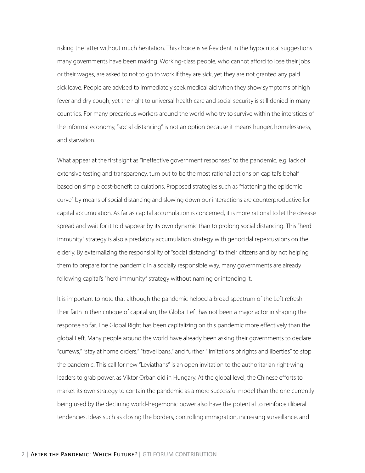risking the latter without much hesitation. This choice is self-evident in the hypocritical suggestions many governments have been making. Working-class people, who cannot afford to lose their jobs or their wages, are asked to not to go to work if they are sick, yet they are not granted any paid sick leave. People are advised to immediately seek medical aid when they show symptoms of high fever and dry cough, yet the right to universal health care and social security is still denied in many countries. For many precarious workers around the world who try to survive within the interstices of the informal economy, "social distancing" is not an option because it means hunger, homelessness, and starvation.

What appear at the first sight as "ineffective government responses" to the pandemic, e.g, lack of extensive testing and transparency, turn out to be the most rational actions on capital's behalf based on simple cost-benefit calculations. Proposed strategies such as "flattening the epidemic curve" by means of social distancing and slowing down our interactions are counterproductive for capital accumulation. As far as capital accumulation is concerned, it is more rational to let the disease spread and wait for it to disappear by its own dynamic than to prolong social distancing. This "herd immunity" strategy is also a predatory accumulation strategy with genocidal repercussions on the elderly. By externalizing the responsibility of "social distancing" to their citizens and by not helping them to prepare for the pandemic in a socially responsible way, many governments are already following capital's "herd immunity" strategy without naming or intending it.

It is important to note that although the pandemic helped a broad spectrum of the Left refresh their faith in their critique of capitalism, the Global Left has not been a major actor in shaping the response so far. The Global Right has been capitalizing on this pandemic more effectively than the global Left. Many people around the world have already been asking their governments to declare "curfews," "stay at home orders," "travel bans," and further "limitations of rights and liberties" to stop the pandemic. This call for new "Leviathans" is an open invitation to the authoritarian right-wing leaders to grab power, as Viktor Orban did in Hungary. At the global level, the Chinese efforts to market its own strategy to contain the pandemic as a more successful model than the one currently being used by the declining world-hegemonic power also have the potential to reinforce illiberal tendencies. Ideas such as closing the borders, controlling immigration, increasing surveillance, and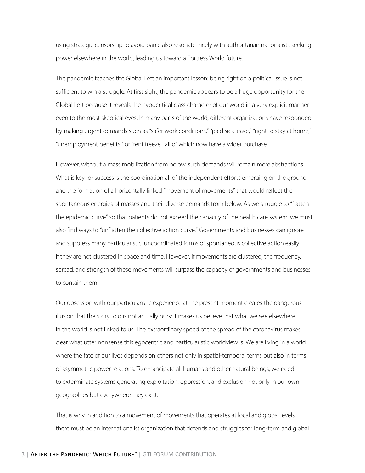using strategic censorship to avoid panic also resonate nicely with authoritarian nationalists seeking power elsewhere in the world, leading us toward a Fortress World future.

The pandemic teaches the Global Left an important lesson: being right on a political issue is not sufficient to win a struggle. At first sight, the pandemic appears to be a huge opportunity for the Global Left because it reveals the hypocritical class character of our world in a very explicit manner even to the most skeptical eyes. In many parts of the world, different organizations have responded by making urgent demands such as "safer work conditions," "paid sick leave," "right to stay at home," "unemployment benefits," or "rent freeze," all of which now have a wider purchase.

However, without a mass mobilization from below, such demands will remain mere abstractions. What is key for success is the coordination all of the independent efforts emerging on the ground and the formation of a horizontally linked "movement of movements" that would reflect the spontaneous energies of masses and their diverse demands from below. As we struggle to "flatten the epidemic curve" so that patients do not exceed the capacity of the health care system, we must also find ways to "unflatten the collective action curve." Governments and businesses can ignore and suppress many particularistic, uncoordinated forms of spontaneous collective action easily if they are not clustered in space and time. However, if movements are clustered, the frequency, spread, and strength of these movements will surpass the capacity of governments and businesses to contain them.

Our obsession with our particularistic experience at the present moment creates the dangerous illusion that the story told is not actually ours; it makes us believe that what we see elsewhere in the world is not linked to us. The extraordinary speed of the spread of the coronavirus makes clear what utter nonsense this egocentric and particularistic worldview is. We are living in a world where the fate of our lives depends on others not only in spatial-temporal terms but also in terms of asymmetric power relations. To emancipate all humans and other natural beings, we need to exterminate systems generating exploitation, oppression, and exclusion not only in our own geographies but everywhere they exist.

That is why in addition to a movement of movements that operates at local and global levels, there must be an internationalist organization that defends and struggles for long-term and global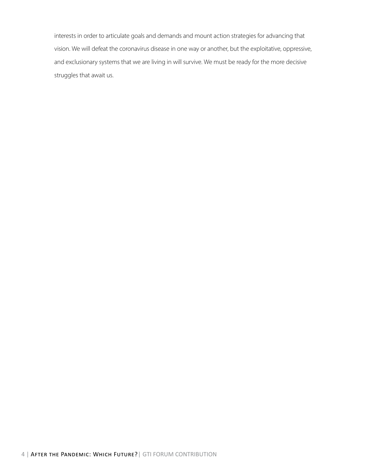interests in order to articulate goals and demands and mount action strategies for advancing that vision. We will defeat the coronavirus disease in one way or another, but the exploitative, oppressive, and exclusionary systems that we are living in will survive. We must be ready for the more decisive struggles that await us.